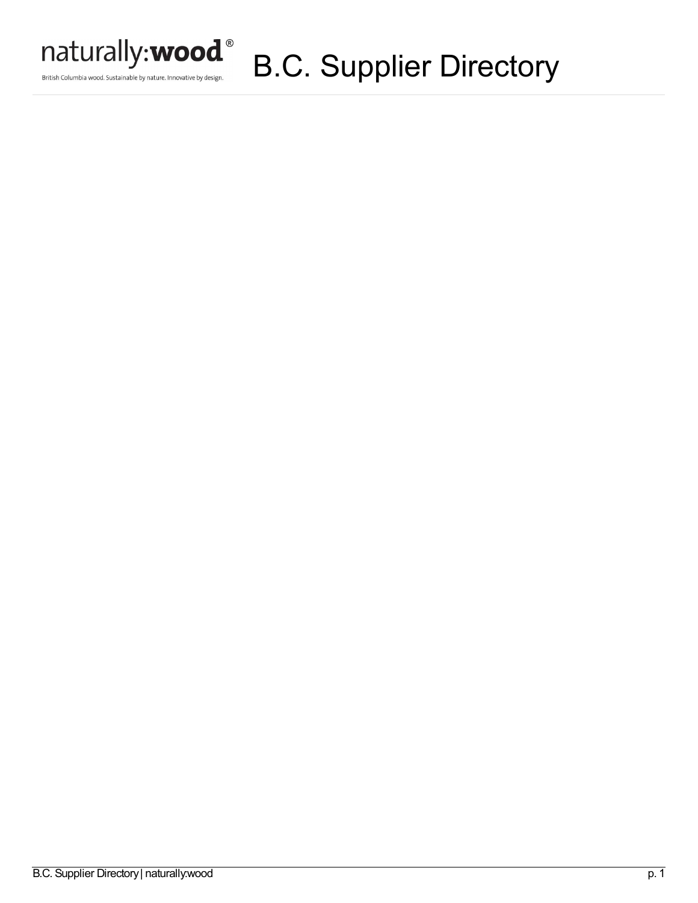

British Columbia wood. Sustainable by nature. Innovative by design.

# B.C. Supplier Directory